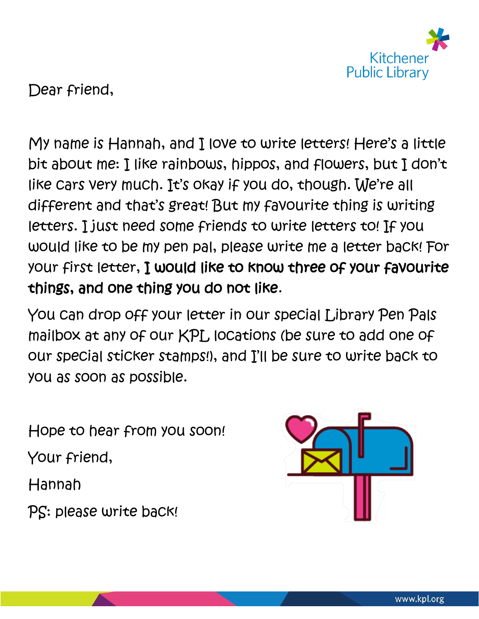

Dear friend,

My name is Hannah, and I love to write letters! Here's a little bit about me: I like rainbows, hippos, and flowers, but I don't like cars very much. It's okay if you do, though. We're all different and that's great! But my favourite thing is writing letters. I just need some friends to write letters to! If you would like to be my pen pal, please write me a letter back! For your first letter, I would like to know three of your favourite things, and one thing you do not like.

You can drop off your letter in our special Library Pen Pals mailbox at any of our KPL locations (be sure to add one of our special sticker stamps!), and I'll be sure to write back to you as soon as possible.

Hope to hear from you soon! Your friend, Hannah PS: please write back!